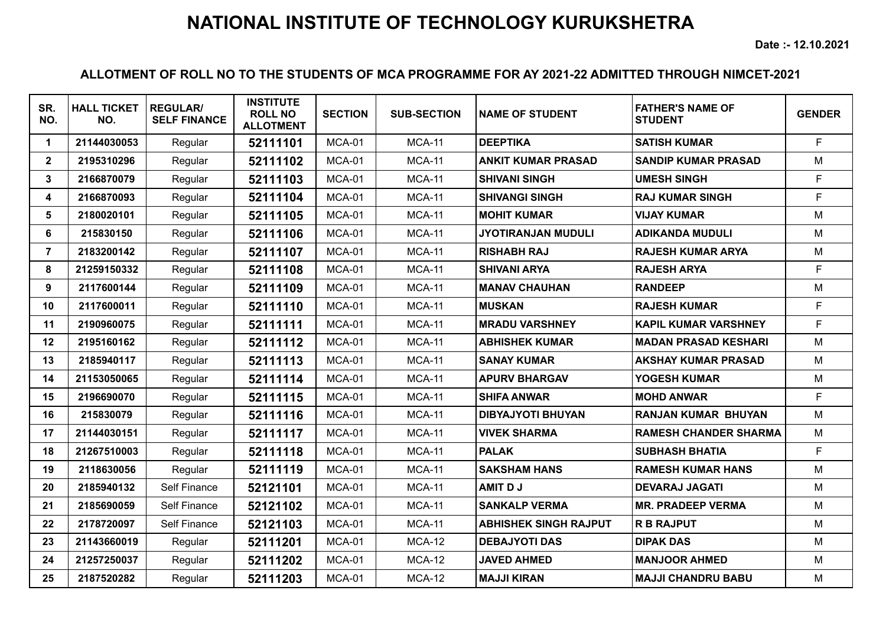**Date :- 12.10.2021**

| SR.<br>NO.     | <b>HALL TICKET</b><br>NO. | <b>REGULAR/</b><br><b>SELF FINANCE</b> | <b>INSTITUTE</b><br><b>ROLL NO</b><br><b>ALLOTMENT</b> | <b>SECTION</b> | <b>SUB-SECTION</b> | <b>NAME OF STUDENT</b>       | <b>FATHER'S NAME OF</b><br><b>STUDENT</b> | <b>GENDER</b> |
|----------------|---------------------------|----------------------------------------|--------------------------------------------------------|----------------|--------------------|------------------------------|-------------------------------------------|---------------|
| $\mathbf 1$    | 21144030053               | Regular                                | 52111101                                               | MCA-01         | <b>MCA-11</b>      | <b>DEEPTIKA</b>              | <b>SATISH KUMAR</b>                       | F.            |
| $\mathbf{2}$   | 2195310296                | Regular                                | 52111102                                               | MCA-01         | <b>MCA-11</b>      | <b>ANKIT KUMAR PRASAD</b>    | <b>SANDIP KUMAR PRASAD</b>                | M             |
| 3              | 2166870079                | Regular                                | 52111103                                               | MCA-01         | <b>MCA-11</b>      | <b>SHIVANI SINGH</b>         | <b>UMESH SINGH</b>                        | F             |
| 4              | 2166870093                | Regular                                | 52111104                                               | <b>MCA-01</b>  | <b>MCA-11</b>      | <b>SHIVANGI SINGH</b>        | <b>RAJ KUMAR SINGH</b>                    | F.            |
| 5              | 2180020101                | Regular                                | 52111105                                               | MCA-01         | <b>MCA-11</b>      | <b>MOHIT KUMAR</b>           | <b>VIJAY KUMAR</b>                        | M             |
| 6              | 215830150                 | Regular                                | 52111106                                               | <b>MCA-01</b>  | <b>MCA-11</b>      | <b>JYOTIRANJAN MUDULI</b>    | <b>ADIKANDA MUDULI</b>                    | M             |
| $\overline{7}$ | 2183200142                | Regular                                | 52111107                                               | MCA-01         | <b>MCA-11</b>      | <b>RISHABH RAJ</b>           | <b>RAJESH KUMAR ARYA</b>                  | M             |
| 8              | 21259150332               | Regular                                | 52111108                                               | MCA-01         | <b>MCA-11</b>      | <b>SHIVANI ARYA</b>          | <b>RAJESH ARYA</b>                        | F.            |
| 9              | 2117600144                | Regular                                | 52111109                                               | MCA-01         | <b>MCA-11</b>      | <b>MANAV CHAUHAN</b>         | <b>RANDEEP</b>                            | M             |
| 10             | 2117600011                | Regular                                | 52111110                                               | MCA-01         | <b>MCA-11</b>      | <b>MUSKAN</b>                | <b>RAJESH KUMAR</b>                       | F             |
| 11             | 2190960075                | Regular                                | 52111111                                               | MCA-01         | <b>MCA-11</b>      | <b>MRADU VARSHNEY</b>        | <b>KAPIL KUMAR VARSHNEY</b>               | F             |
| 12             | 2195160162                | Regular                                | 52111112                                               | MCA-01         | <b>MCA-11</b>      | <b>ABHISHEK KUMAR</b>        | <b>MADAN PRASAD KESHARI</b>               | M             |
| 13             | 2185940117                | Regular                                | 52111113                                               | MCA-01         | <b>MCA-11</b>      | <b>SANAY KUMAR</b>           | <b>AKSHAY KUMAR PRASAD</b>                | M             |
| 14             | 21153050065               | Regular                                | 52111114                                               | MCA-01         | <b>MCA-11</b>      | <b>APURV BHARGAV</b>         | YOGESH KUMAR                              | M             |
| 15             | 2196690070                | Regular                                | 52111115                                               | MCA-01         | <b>MCA-11</b>      | <b>SHIFA ANWAR</b>           | <b>MOHD ANWAR</b>                         | F.            |
| 16             | 215830079                 | Regular                                | 52111116                                               | MCA-01         | <b>MCA-11</b>      | <b>DIBYAJYOTI BHUYAN</b>     | <b>RANJAN KUMAR BHUYAN</b>                | M             |
| 17             | 21144030151               | Regular                                | 52111117                                               | MCA-01         | <b>MCA-11</b>      | <b>VIVEK SHARMA</b>          | <b>RAMESH CHANDER SHARMA</b>              | M             |
| 18             | 21267510003               | Regular                                | 52111118                                               | MCA-01         | <b>MCA-11</b>      | <b>PALAK</b>                 | <b>SUBHASH BHATIA</b>                     | F             |
| 19             | 2118630056                | Regular                                | 52111119                                               | MCA-01         | <b>MCA-11</b>      | <b>SAKSHAM HANS</b>          | <b>RAMESH KUMAR HANS</b>                  | M             |
| 20             | 2185940132                | Self Finance                           | 52121101                                               | MCA-01         | <b>MCA-11</b>      | <b>AMIT DJ</b>               | <b>DEVARAJ JAGATI</b>                     | M             |
| 21             | 2185690059                | Self Finance                           | 52121102                                               | MCA-01         | <b>MCA-11</b>      | <b>SANKALP VERMA</b>         | <b>MR. PRADEEP VERMA</b>                  | M             |
| 22             | 2178720097                | Self Finance                           | 52121103                                               | MCA-01         | <b>MCA-11</b>      | <b>ABHISHEK SINGH RAJPUT</b> | <b>R B RAJPUT</b>                         | M             |
| 23             | 21143660019               | Regular                                | 52111201                                               | MCA-01         | $MCA-12$           | <b>DEBAJYOTI DAS</b>         | <b>DIPAK DAS</b>                          | M             |
| 24             | 21257250037               | Regular                                | 52111202                                               | MCA-01         | <b>MCA-12</b>      | <b>JAVED AHMED</b>           | <b>MANJOOR AHMED</b>                      | M             |
| 25             | 2187520282                | Regular                                | 52111203                                               | MCA-01         | <b>MCA-12</b>      | <b>MAJJI KIRAN</b>           | <b>MAJJI CHANDRU BABU</b>                 | M             |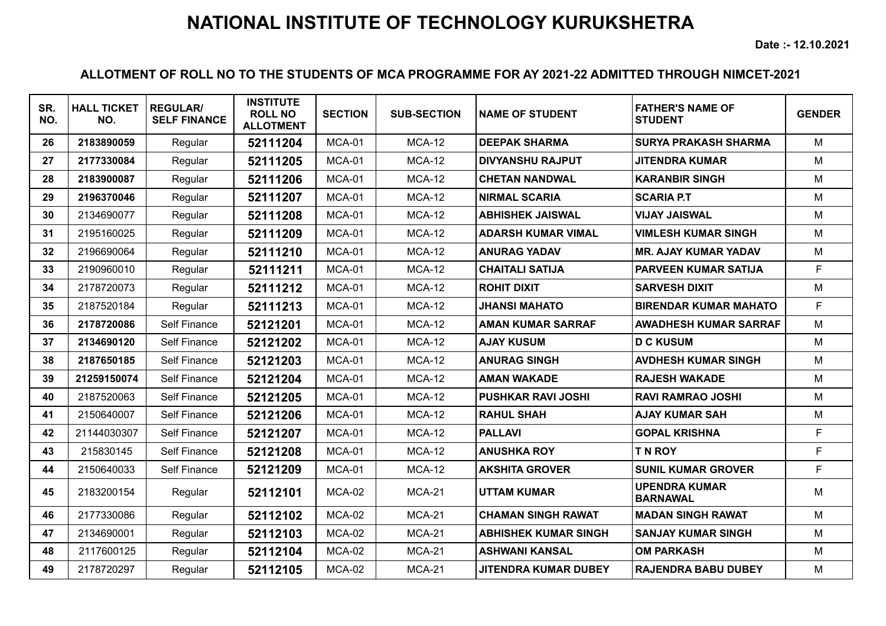**Date :- 12.10.2021**

| SR.<br>NO. | <b>HALL TICKET</b><br>NO. | <b>REGULAR/</b><br><b>SELF FINANCE</b> | <b>INSTITUTE</b><br><b>ROLL NO</b><br><b>ALLOTMENT</b> | <b>SECTION</b> | <b>SUB-SECTION</b> | <b>NAME OF STUDENT</b>      | <b>FATHER'S NAME OF</b><br><b>STUDENT</b> | <b>GENDER</b> |
|------------|---------------------------|----------------------------------------|--------------------------------------------------------|----------------|--------------------|-----------------------------|-------------------------------------------|---------------|
| 26         | 2183890059                | Regular                                | 52111204                                               | MCA-01         | $MCA-12$           | <b>DEEPAK SHARMA</b>        | <b>SURYA PRAKASH SHARMA</b>               | M             |
| 27         | 2177330084                | Regular                                | 52111205                                               | MCA-01         | <b>MCA-12</b>      | <b>DIVYANSHU RAJPUT</b>     | <b>JITENDRA KUMAR</b>                     | M             |
| 28         | 2183900087                | Regular                                | 52111206                                               | MCA-01         | <b>MCA-12</b>      | <b>CHETAN NANDWAL</b>       | <b>KARANBIR SINGH</b>                     | M             |
| 29         | 2196370046                | Regular                                | 52111207                                               | MCA-01         | <b>MCA-12</b>      | <b>NIRMAL SCARIA</b>        | <b>SCARIA P.T</b>                         | M             |
| 30         | 2134690077                | Regular                                | 52111208                                               | MCA-01         | $MCA-12$           | <b>ABHISHEK JAISWAL</b>     | <b>VIJAY JAISWAL</b>                      | M             |
| 31         | 2195160025                | Regular                                | 52111209                                               | MCA-01         | $MCA-12$           | <b>ADARSH KUMAR VIMAL</b>   | <b>VIMLESH KUMAR SINGH</b>                | M             |
| 32         | 2196690064                | Regular                                | 52111210                                               | MCA-01         | <b>MCA-12</b>      | <b>ANURAG YADAV</b>         | <b>MR. AJAY KUMAR YADAV</b>               | M             |
| 33         | 2190960010                | Regular                                | 52111211                                               | MCA-01         | <b>MCA-12</b>      | <b>CHAITALI SATIJA</b>      | <b>PARVEEN KUMAR SATIJA</b>               | F.            |
| 34         | 2178720073                | Regular                                | 52111212                                               | MCA-01         | <b>MCA-12</b>      | <b>ROHIT DIXIT</b>          | <b>SARVESH DIXIT</b>                      | M             |
| 35         | 2187520184                | Regular                                | 52111213                                               | MCA-01         | $MCA-12$           | <b>JHANSI MAHATO</b>        | <b>BIRENDAR KUMAR MAHATO</b>              | F.            |
| 36         | 2178720086                | <b>Self Finance</b>                    | 52121201                                               | MCA-01         | $MCA-12$           | <b>AMAN KUMAR SARRAF</b>    | <b>AWADHESH KUMAR SARRAF</b>              | M             |
| 37         | 2134690120                | <b>Self Finance</b>                    | 52121202                                               | MCA-01         | <b>MCA-12</b>      | <b>AJAY KUSUM</b>           | <b>D C KUSUM</b>                          | M             |
| 38         | 2187650185                | Self Finance                           | 52121203                                               | MCA-01         | $MCA-12$           | <b>ANURAG SINGH</b>         | <b>AVDHESH KUMAR SINGH</b>                | M             |
| 39         | 21259150074               | <b>Self Finance</b>                    | 52121204                                               | MCA-01         | <b>MCA-12</b>      | <b>AMAN WAKADE</b>          | <b>RAJESH WAKADE</b>                      | M             |
| 40         | 2187520063                | Self Finance                           | 52121205                                               | MCA-01         | <b>MCA-12</b>      | <b>PUSHKAR RAVI JOSHI</b>   | <b>RAVI RAMRAO JOSHI</b>                  | M             |
| 41         | 2150640007                | <b>Self Finance</b>                    | 52121206                                               | MCA-01         | <b>MCA-12</b>      | <b>RAHUL SHAH</b>           | <b>AJAY KUMAR SAH</b>                     | M             |
| 42         | 21144030307               | <b>Self Finance</b>                    | 52121207                                               | MCA-01         | <b>MCA-12</b>      | <b>PALLAVI</b>              | <b>GOPAL KRISHNA</b>                      | F             |
| 43         | 215830145                 | Self Finance                           | 52121208                                               | MCA-01         | <b>MCA-12</b>      | <b>ANUSHKA ROY</b>          | TN ROY                                    | F             |
| 44         | 2150640033                | Self Finance                           | 52121209                                               | MCA-01         | <b>MCA-12</b>      | <b>AKSHITA GROVER</b>       | <b>SUNIL KUMAR GROVER</b>                 | F             |
| 45         | 2183200154                | Regular                                | 52112101                                               | MCA-02         | <b>MCA-21</b>      | <b>UTTAM KUMAR</b>          | <b>UPENDRA KUMAR</b><br><b>BARNAWAL</b>   | M             |
| 46         | 2177330086                | Regular                                | 52112102                                               | MCA-02         | <b>MCA-21</b>      | <b>CHAMAN SINGH RAWAT</b>   | <b>MADAN SINGH RAWAT</b>                  | M             |
| 47         | 2134690001                | Regular                                | 52112103                                               | $MCA-02$       | <b>MCA-21</b>      | <b>ABHISHEK KUMAR SINGH</b> | <b>SANJAY KUMAR SINGH</b>                 | M             |
| 48         | 2117600125                | Regular                                | 52112104                                               | MCA-02         | <b>MCA-21</b>      | <b>ASHWANI KANSAL</b>       | <b>OM PARKASH</b>                         | M             |
| 49         | 2178720297                | Regular                                | 52112105                                               | <b>MCA-02</b>  | <b>MCA-21</b>      | <b>JITENDRA KUMAR DUBEY</b> | <b>RAJENDRA BABU DUBEY</b>                | M             |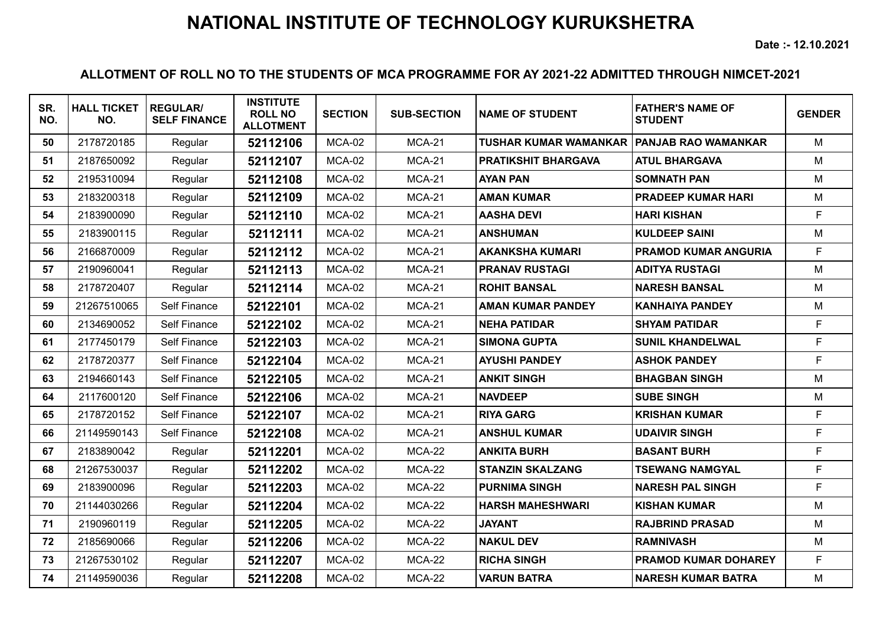**Date :- 12.10.2021**

| SR.<br>NO. | <b>HALL TICKET</b><br>NO. | <b>REGULAR/</b><br><b>SELF FINANCE</b> | <b>INSTITUTE</b><br><b>ROLL NO</b><br><b>ALLOTMENT</b> | <b>SECTION</b> | <b>SUB-SECTION</b> | <b>NAME OF STUDENT</b>       | <b>FATHER'S NAME OF</b><br><b>STUDENT</b> | <b>GENDER</b> |
|------------|---------------------------|----------------------------------------|--------------------------------------------------------|----------------|--------------------|------------------------------|-------------------------------------------|---------------|
| 50         | 2178720185                | Regular                                | 52112106                                               | MCA-02         | <b>MCA-21</b>      | <b>TUSHAR KUMAR WAMANKAR</b> | <b>PANJAB RAO WAMANKAR</b>                | M             |
| 51         | 2187650092                | Regular                                | 52112107                                               | $MCA-02$       | $MCA-21$           | <b>PRATIKSHIT BHARGAVA</b>   | <b>ATUL BHARGAVA</b>                      | M             |
| 52         | 2195310094                | Regular                                | 52112108                                               | MCA-02         | <b>MCA-21</b>      | <b>AYAN PAN</b>              | <b>SOMNATH PAN</b>                        | M             |
| 53         | 2183200318                | Regular                                | 52112109                                               | MCA-02         | <b>MCA-21</b>      | <b>AMAN KUMAR</b>            | <b>PRADEEP KUMAR HARI</b>                 | M             |
| 54         | 2183900090                | Regular                                | 52112110                                               | MCA-02         | <b>MCA-21</b>      | <b>AASHA DEVI</b>            | <b>HARI KISHAN</b>                        | F             |
| 55         | 2183900115                | Regular                                | 52112111                                               | MCA-02         | <b>MCA-21</b>      | <b>ANSHUMAN</b>              | <b>KULDEEP SAINI</b>                      | M             |
| 56         | 2166870009                | Regular                                | 52112112                                               | MCA-02         | <b>MCA-21</b>      | <b>AKANKSHA KUMARI</b>       | <b>PRAMOD KUMAR ANGURIA</b>               | F             |
| 57         | 2190960041                | Regular                                | 52112113                                               | MCA-02         | <b>MCA-21</b>      | <b>PRANAV RUSTAGI</b>        | <b>ADITYA RUSTAGI</b>                     | M             |
| 58         | 2178720407                | Regular                                | 52112114                                               | MCA-02         | <b>MCA-21</b>      | <b>ROHIT BANSAL</b>          | <b>NARESH BANSAL</b>                      | M             |
| 59         | 21267510065               | Self Finance                           | 52122101                                               | MCA-02         | <b>MCA-21</b>      | <b>AMAN KUMAR PANDEY</b>     | <b>KANHAIYA PANDEY</b>                    | M             |
| 60         | 2134690052                | Self Finance                           | 52122102                                               | MCA-02         | <b>MCA-21</b>      | <b>NEHA PATIDAR</b>          | <b>SHYAM PATIDAR</b>                      | F             |
| 61         | 2177450179                | <b>Self Finance</b>                    | 52122103                                               | MCA-02         | <b>MCA-21</b>      | <b>SIMONA GUPTA</b>          | <b>SUNIL KHANDELWAL</b>                   | F             |
| 62         | 2178720377                | Self Finance                           | 52122104                                               | MCA-02         | <b>MCA-21</b>      | <b>AYUSHI PANDEY</b>         | <b>ASHOK PANDEY</b>                       | F             |
| 63         | 2194660143                | Self Finance                           | 52122105                                               | MCA-02         | <b>MCA-21</b>      | <b>ANKIT SINGH</b>           | <b>BHAGBAN SINGH</b>                      | M             |
| 64         | 2117600120                | Self Finance                           | 52122106                                               | MCA-02         | <b>MCA-21</b>      | <b>NAVDEEP</b>               | <b>SUBE SINGH</b>                         | M             |
| 65         | 2178720152                | Self Finance                           | 52122107                                               | MCA-02         | <b>MCA-21</b>      | <b>RIYA GARG</b>             | <b>KRISHAN KUMAR</b>                      | F             |
| 66         | 21149590143               | <b>Self Finance</b>                    | 52122108                                               | MCA-02         | <b>MCA-21</b>      | <b>ANSHUL KUMAR</b>          | <b>UDAIVIR SINGH</b>                      | F             |
| 67         | 2183890042                | Regular                                | 52112201                                               | MCA-02         | $MCA-22$           | <b>ANKITA BURH</b>           | <b>BASANT BURH</b>                        | F             |
| 68         | 21267530037               | Regular                                | 52112202                                               | MCA-02         | $MCA-22$           | <b>STANZIN SKALZANG</b>      | <b>TSEWANG NAMGYAL</b>                    | E             |
| 69         | 2183900096                | Regular                                | 52112203                                               | MCA-02         | $MCA-22$           | <b>PURNIMA SINGH</b>         | <b>NARESH PAL SINGH</b>                   | F             |
| 70         | 21144030266               | Regular                                | 52112204                                               | MCA-02         | $MCA-22$           | <b>HARSH MAHESHWARI</b>      | <b>KISHAN KUMAR</b>                       | M             |
| 71         | 2190960119                | Regular                                | 52112205                                               | MCA-02         | $MCA-22$           | <b>JAYANT</b>                | <b>RAJBRIND PRASAD</b>                    | M             |
| 72         | 2185690066                | Regular                                | 52112206                                               | MCA-02         | $MCA-22$           | <b>NAKUL DEV</b>             | <b>RAMNIVASH</b>                          | M             |
| 73         | 21267530102               | Regular                                | 52112207                                               | MCA-02         | <b>MCA-22</b>      | <b>RICHA SINGH</b>           | <b>PRAMOD KUMAR DOHAREY</b>               | F             |
| 74         | 21149590036               | Regular                                | 52112208                                               | MCA-02         | <b>MCA-22</b>      | <b>VARUN BATRA</b>           | <b>NARESH KUMAR BATRA</b>                 | M             |